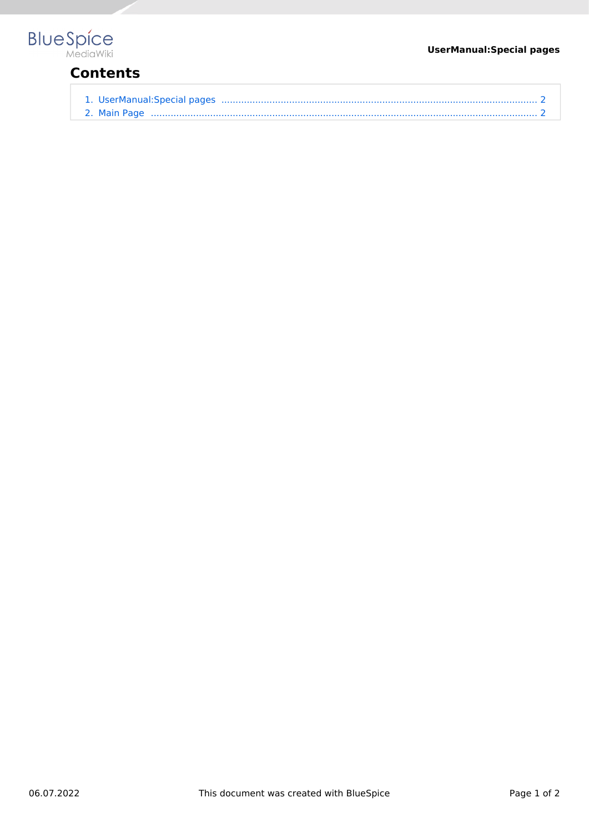#### **UserManual:Special pages**



# **Contents**